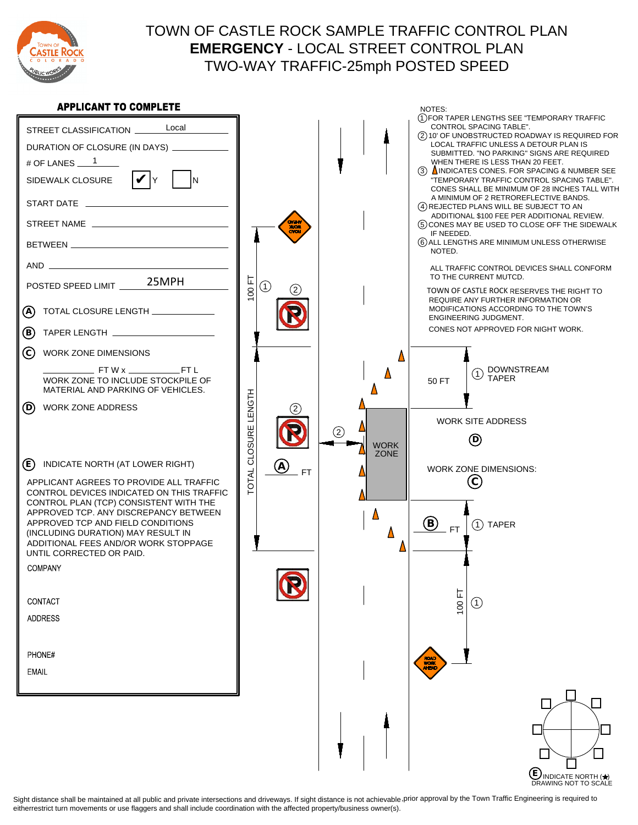

## TOWN OF CASTLE ROCK SAMPLE TRAFFIC CONTROL PLAN - LOCAL STREET CONTROL PLAN EMERGENCY **EMERGENCY** - LOCAL STREET CONTROL PLAN TWO-WAY TRAFFIC TWO-WAY TRAFFIC-25mph POSTED SPEED

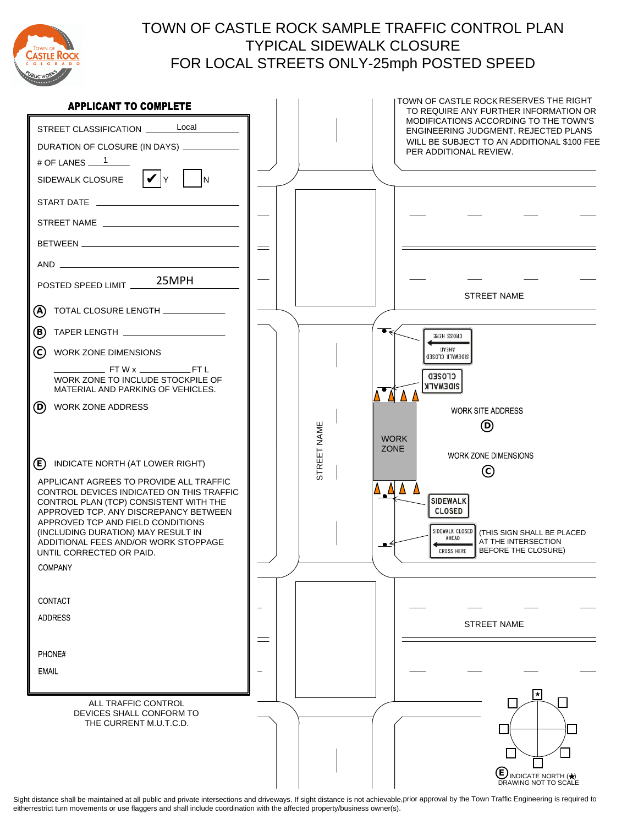

### TOWN OF CASTLE ROCK SAMPLE TRAFFIC CONTROL PLAN TYPICAL SIDEWALK CLOSURE FOR LOCAL STREETS ONLY FOR LOCAL STREETS ONLY-25mph POSTED SPEED TYPICAL SIDEWALK CLOSURE

| <b>APPLICANT TO COMPLETE</b>                                                                                                                                                                                                                                                                                                                                                | TOWN OF CASTLE ROCK RESERVES THE RIGHT<br>TO REQUIRE ANY FURTHER INFORMATION OR                                                                                                                                                       |
|-----------------------------------------------------------------------------------------------------------------------------------------------------------------------------------------------------------------------------------------------------------------------------------------------------------------------------------------------------------------------------|---------------------------------------------------------------------------------------------------------------------------------------------------------------------------------------------------------------------------------------|
| STREET CLASSIFICATION _______ Local<br>DURATION OF CLOSURE (IN DAYS) ___________<br># OF LANES $1$<br> V <br>SIDEWALK CLOSURE                                                                                                                                                                                                                                               | MODIFICATIONS ACCORDING TO THE TOWN'S<br>ENGINEERING JUDGMENT. REJECTED PLANS<br>WILL BE SUBJECT TO AN ADDITIONAL \$100 FEE<br>PER ADDITIONAL REVIEW.                                                                                 |
| START DATE _________________                                                                                                                                                                                                                                                                                                                                                |                                                                                                                                                                                                                                       |
|                                                                                                                                                                                                                                                                                                                                                                             |                                                                                                                                                                                                                                       |
|                                                                                                                                                                                                                                                                                                                                                                             | $\equiv$                                                                                                                                                                                                                              |
|                                                                                                                                                                                                                                                                                                                                                                             |                                                                                                                                                                                                                                       |
| 25MPH<br>POSTED SPEED LIMIT                                                                                                                                                                                                                                                                                                                                                 | <b>STREET NAME</b>                                                                                                                                                                                                                    |
| A)                                                                                                                                                                                                                                                                                                                                                                          |                                                                                                                                                                                                                                       |
| ℗                                                                                                                                                                                                                                                                                                                                                                           | CROSS HERE                                                                                                                                                                                                                            |
| ⓒ<br>WORK ZONE DIMENSIONS                                                                                                                                                                                                                                                                                                                                                   | <b>GA3HA</b><br>SIDEMALK CLOSED                                                                                                                                                                                                       |
| WORK ZONE TO INCLUDE STOCKPILE OF<br>MATERIAL AND PARKING OF VEHICLES.                                                                                                                                                                                                                                                                                                      | <b>CLOSED</b><br>SIDEMALK<br>$\Delta$ $\Delta$ $\Delta$                                                                                                                                                                               |
| (D)<br>WORK ZONE ADDRESS                                                                                                                                                                                                                                                                                                                                                    | <b>WORK SITE ADDRESS</b><br>$^{\circledR}$<br><b>WORK</b>                                                                                                                                                                             |
| (E)<br>INDICATE NORTH (AT LOWER RIGHT)<br>APPLICANT AGREES TO PROVIDE ALL TRAFFIC<br>CONTROL DEVICES INDICATED ON THIS TRAFFIC<br>CONTROL PLAN (TCP) CONSISTENT WITH THE<br>APPROVED TCP. ANY DISCREPANCY BETWEEN<br>APPROVED TCP AND FIELD CONDITIONS<br>(INCLUDING DURATION) MAY RESULT IN<br>ADDITIONAL FEES AND/OR WORK STOPPAGE<br>UNTIL CORRECTED OR PAID.<br>COMPANY | STREET NAME<br><b>ZONE</b><br>WORK ZONE DIMENSIONS<br>$\odot$<br>AAAA<br><b>SIDEWALK</b><br><b>CLOSED</b><br>SIDEWALK CLOSED<br>(THIS SIGN SHALL BE PLACED<br>AHEAD<br>AT THE INTERSECTION<br>∸≞<br>BEFORE THE CLOSURE)<br>CROSS HERE |
| CONTACT                                                                                                                                                                                                                                                                                                                                                                     |                                                                                                                                                                                                                                       |
| <b>ADDRESS</b>                                                                                                                                                                                                                                                                                                                                                              |                                                                                                                                                                                                                                       |
| PHONE#                                                                                                                                                                                                                                                                                                                                                                      | <b>STREET NAME</b><br>$\equiv$                                                                                                                                                                                                        |
| <b>EMAIL</b>                                                                                                                                                                                                                                                                                                                                                                |                                                                                                                                                                                                                                       |
|                                                                                                                                                                                                                                                                                                                                                                             |                                                                                                                                                                                                                                       |
| ALL TRAFFIC CONTROL<br>DEVICES SHALL CONFORM TO<br>THE CURRENT M.U.T.C.D.                                                                                                                                                                                                                                                                                                   | ★<br>UINDICATE NORTH $\left(\bigstar\right)$<br>DRAWING NOT TO SCALE                                                                                                                                                                  |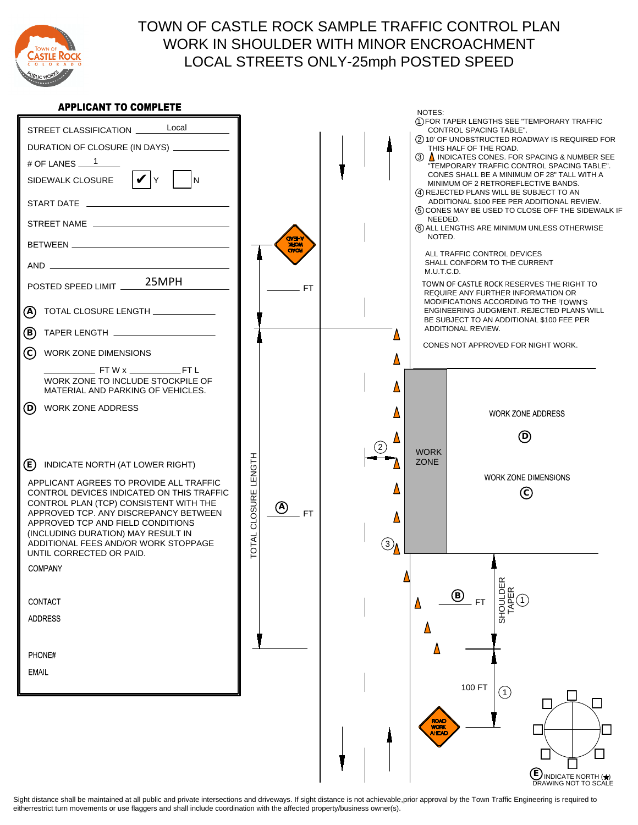

### CITY OF CAULE RUCH CAME LE TRAFFIC CONTROL PLAN<br>CONTROL PLAN IN CHAIN DED MUTH MINOD ENCROACHMENT WORK IN SHOULDER WITH MINOR ENCROACHMENT LOCAL STREETS ONLY LOCAL STREETS ONLY-25mph POSTED SPEED TOWN OF CASTLE ROCK SAMPLE TRAFFIC CONTROL PLAN

### **APPLICANT TO COMPLETE**

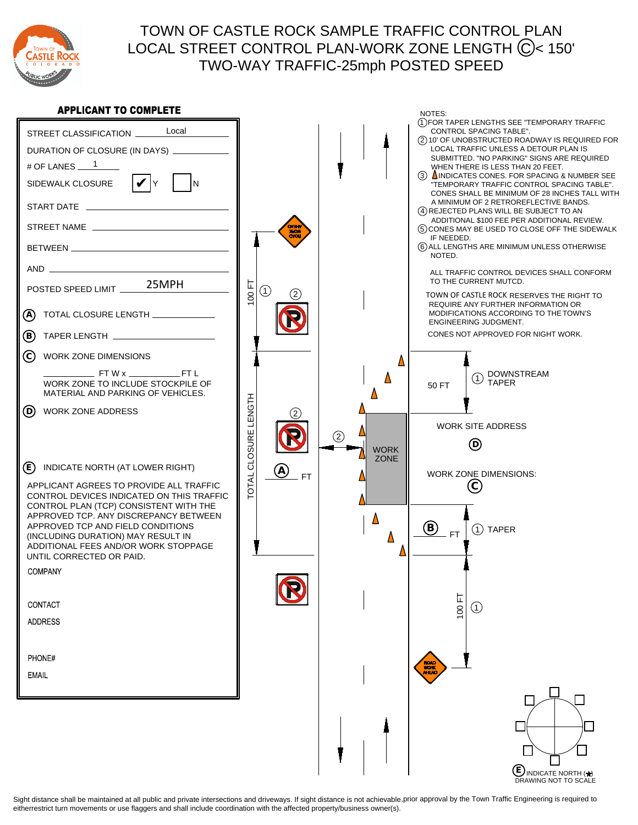

## TOWN OF CASTLE ROCK SAMPLE TRAFFIC CONTROL PLAN LOCAL STREET CONTROL PLAN-WORK ZONE LENGTH (C)< 150' TWO-WAY TRAFFIC TWO-WAY TRAFFIC-25mph POSTED SPEED

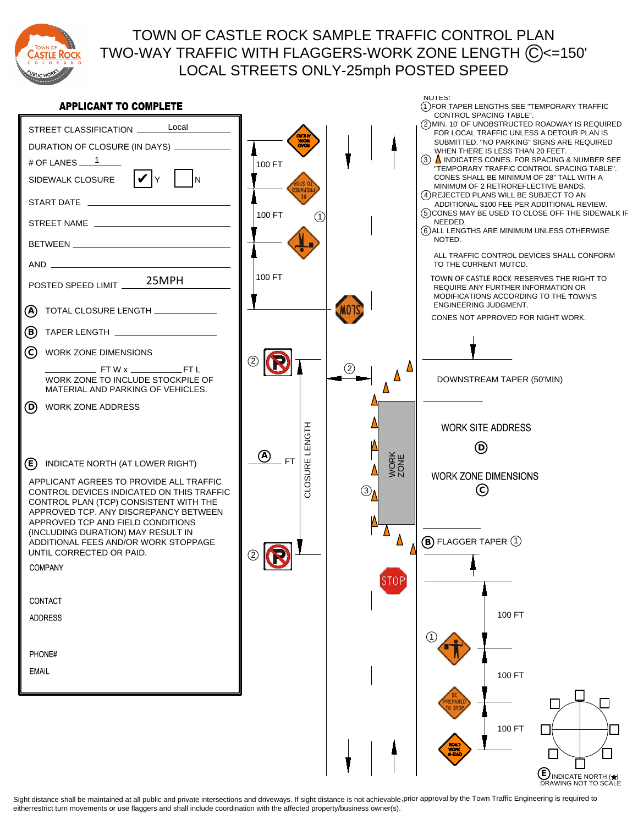

## TOWN OF CASTLE ROCK SAMPLE TRAFFIC CONTROL PLAN TWO-WAY TRAFFIC WITH FLAGGERS-WORK ZONE LENGTH (C)<=150' LOCAL STREETS ONLY-25mph POSTED SPEED